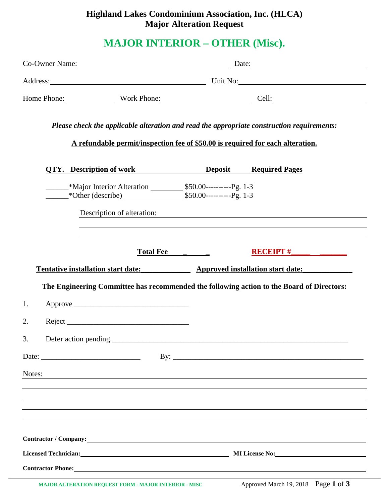# **Highland Lakes Condominium Association, Inc. (HLCA) Major Alteration Request**

# **MAJOR INTERIOR – OTHER (Misc).**

|        |                                                                                                                                                                                                                                | Co-Owner Name: 2008 and 2008 and 2008 and 2008 and 2008 and 2008 and 2008 and 2008 and 2008 and 2008 and 2008 and 2008 and 2008 and 2008 and 2008 and 2008 and 2008 and 2008 and 2008 and 2008 and 2008 and 2008 and 2008 and |                                                                                  |  |
|--------|--------------------------------------------------------------------------------------------------------------------------------------------------------------------------------------------------------------------------------|-------------------------------------------------------------------------------------------------------------------------------------------------------------------------------------------------------------------------------|----------------------------------------------------------------------------------|--|
|        |                                                                                                                                                                                                                                | Address: Unit No: Unit No:                                                                                                                                                                                                    |                                                                                  |  |
|        |                                                                                                                                                                                                                                |                                                                                                                                                                                                                               | Home Phone: Work Phone: Work Phone: Cell:                                        |  |
|        | Please check the applicable alteration and read the appropriate construction requirements:<br>A refundable permit/inspection fee of \$50.00 is required for each alteration.                                                   |                                                                                                                                                                                                                               |                                                                                  |  |
|        | <b>OTY.</b> Description of work <b>Deposit</b> Required Pages                                                                                                                                                                  |                                                                                                                                                                                                                               |                                                                                  |  |
|        |                                                                                                                                                                                                                                |                                                                                                                                                                                                                               |                                                                                  |  |
|        |                                                                                                                                                                                                                                |                                                                                                                                                                                                                               | Description of alteration:                                                       |  |
|        |                                                                                                                                                                                                                                | Total Fee                                                                                                                                                                                                                     | $RECEIPT$ #                                                                      |  |
|        | Tentative installation start date: Approved installation start date:                                                                                                                                                           |                                                                                                                                                                                                                               |                                                                                  |  |
|        | The Engineering Committee has recommended the following action to the Board of Directors:                                                                                                                                      |                                                                                                                                                                                                                               |                                                                                  |  |
| 1.     |                                                                                                                                                                                                                                |                                                                                                                                                                                                                               |                                                                                  |  |
| 2.     |                                                                                                                                                                                                                                |                                                                                                                                                                                                                               |                                                                                  |  |
| 3.     |                                                                                                                                                                                                                                |                                                                                                                                                                                                                               |                                                                                  |  |
|        |                                                                                                                                                                                                                                |                                                                                                                                                                                                                               |                                                                                  |  |
| Notes: | <u> 1989 - Johann John Stone, markin sanadi amerikan bahasa dalam bahasa dalam bahasa dalam bahasa dalam bahasa d</u>                                                                                                          |                                                                                                                                                                                                                               |                                                                                  |  |
|        |                                                                                                                                                                                                                                |                                                                                                                                                                                                                               | ,我们也不会有什么?""我们的人,我们也不会有什么?""我们的人,我们也不会有什么?""我们的人,我们也不会有什么?""我们的人,我们也不会有什么?""我们的人 |  |
|        |                                                                                                                                                                                                                                |                                                                                                                                                                                                                               |                                                                                  |  |
|        |                                                                                                                                                                                                                                |                                                                                                                                                                                                                               |                                                                                  |  |
|        | Contractor / Company: Note that the contractor of the contractor of the contractor of the contractor of the contractor of the contractor of the contractor of the contractor of the contractor of the contractor of the contra |                                                                                                                                                                                                                               |                                                                                  |  |
|        |                                                                                                                                                                                                                                |                                                                                                                                                                                                                               | Licensed Technician: MILicense No: MILicense No:                                 |  |
|        | <b>Contractor Phone:</b>                                                                                                                                                                                                       |                                                                                                                                                                                                                               |                                                                                  |  |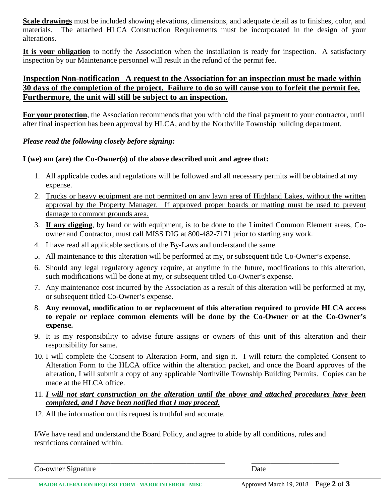**Scale drawings** must be included showing elevations, dimensions, and adequate detail as to finishes, color, and materials. The attached HLCA Construction Requirements must be incorporated in the design of your alterations.

**It is your obligation** to notify the Association when the installation is ready for inspection. A satisfactory inspection by our Maintenance personnel will result in the refund of the permit fee.

### **Inspection Non-notification A request to the Association for an inspection must be made within 30 days of the completion of the project. Failure to do so will cause you to forfeit the permit fee. Furthermore, the unit will still be subject to an inspection.**

**For your protection**, the Association recommends that you withhold the final payment to your contractor, until after final inspection has been approval by HLCA, and by the Northville Township building department.

#### *Please read the following closely before signing:*

#### **I (we) am (are) the Co-Owner(s) of the above described unit and agree that:**

- 1. All applicable codes and regulations will be followed and all necessary permits will be obtained at my expense.
- 2. Trucks or heavy equipment are not permitted on any lawn area of Highland Lakes, without the written approval by the Property Manager. If approved proper boards or matting must be used to prevent damage to common grounds area.
- 3. **If any digging**, by hand or with equipment, is to be done to the Limited Common Element areas, Coowner and Contractor, must call MISS DIG at 800-482-7171 prior to starting any work.
- 4. I have read all applicable sections of the By-Laws and understand the same.
- 5. All maintenance to this alteration will be performed at my, or subsequent title Co-Owner's expense.
- 6. Should any legal regulatory agency require, at anytime in the future, modifications to this alteration, such modifications will be done at my, or subsequent titled Co-Owner's expense.
- 7. Any maintenance cost incurred by the Association as a result of this alteration will be performed at my, or subsequent titled Co-Owner's expense.
- 8. **Any removal, modification to or replacement of this alteration required to provide HLCA access to repair or replace common elements will be done by the Co-Owner or at the Co-Owner's expense.**
- 9. It is my responsibility to advise future assigns or owners of this unit of this alteration and their responsibility for same.
- 10. I will complete the Consent to Alteration Form, and sign it. I will return the completed Consent to Alteration Form to the HLCA office within the alteration packet, and once the Board approves of the alteration, I will submit a copy of any applicable Northville Township Building Permits. Copies can be made at the HLCA office.
- 11. *I will not start construction on the alteration until the above and attached procedures have been completed, and I have been notified that I may proceed.*
- 12. All the information on this request is truthful and accurate.

I/We have read and understand the Board Policy, and agree to abide by all conditions, rules and restrictions contained within.

\_\_\_\_\_\_\_\_\_\_\_\_\_\_\_\_\_\_\_\_\_\_\_\_\_\_\_\_\_\_\_\_\_\_\_\_\_\_\_\_\_\_\_\_\_\_\_\_\_\_ \_\_\_\_\_\_\_\_\_\_\_\_\_\_\_\_\_\_\_\_\_\_\_

Co-owner Signature Date